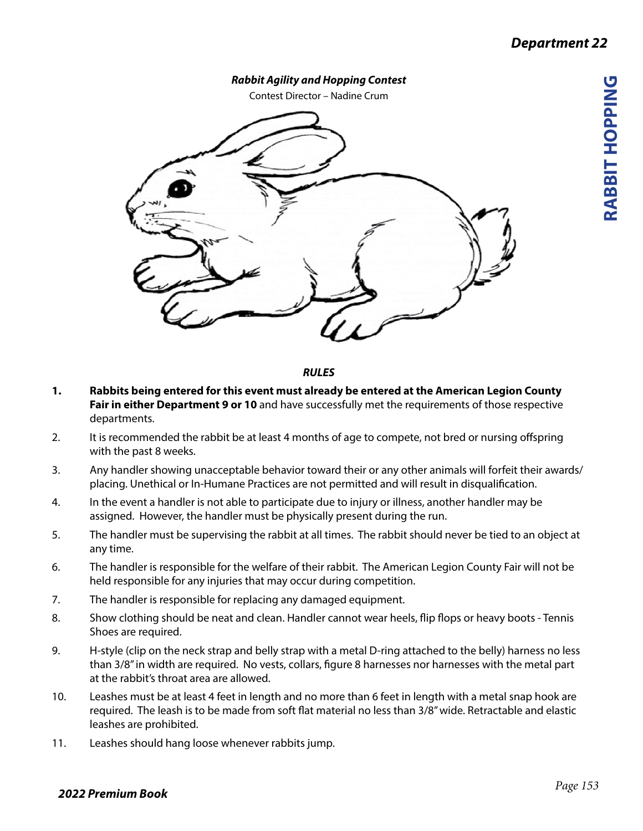**RABBIT HOPPING**

RABBIT HOPPING



*RULES*

- **1. Rabbits being entered for this event must already be entered at the American Legion County Fair in either Department 9 or 10** and have successfully met the requirements of those respective departments.
- 2. It is recommended the rabbit be at least 4 months of age to compete, not bred or nursing offspring with the past 8 weeks.
- 3. Any handler showing unacceptable behavior toward their or any other animals will forfeit their awards/ placing. Unethical or In-Humane Practices are not permitted and will result in disqualification.
- 4. In the event a handler is not able to participate due to injury or illness, another handler may be assigned. However, the handler must be physically present during the run.
- 5. The handler must be supervising the rabbit at all times. The rabbit should never be tied to an object at any time.
- 6. The handler is responsible for the welfare of their rabbit. The American Legion County Fair will not be held responsible for any injuries that may occur during competition.
- 7. The handler is responsible for replacing any damaged equipment.
- 8. Show clothing should be neat and clean. Handler cannot wear heels, flip flops or heavy boots Tennis Shoes are required.
- 9. H-style (clip on the neck strap and belly strap with a metal D-ring attached to the belly) harness no less than 3/8" in width are required. No vests, collars, figure 8 harnesses nor harnesses with the metal part at the rabbit's throat area are allowed.
- 10. Leashes must be at least 4 feet in length and no more than 6 feet in length with a metal snap hook are required. The leash is to be made from soft flat material no less than 3/8" wide. Retractable and elastic leashes are prohibited.
- 11. Leashes should hang loose whenever rabbits jump.